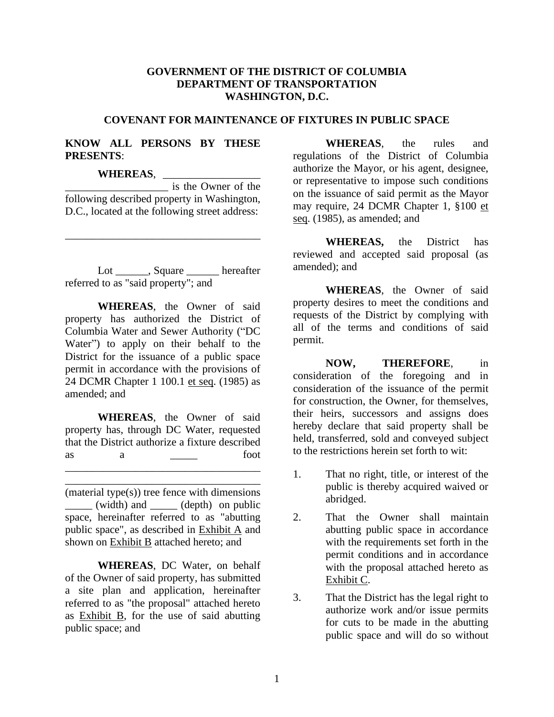## **GOVERNMENT OF THE DISTRICT OF COLUMBIA DEPARTMENT OF TRANSPORTATION WASHINGTON, D.C.**

### **COVENANT FOR MAINTENANCE OF FIXTURES IN PUBLIC SPACE**

### **KNOW ALL PERSONS BY THESE PRESENTS**:

### **WHEREAS**, \_\_\_\_\_\_\_\_\_\_\_\_\_\_\_\_\_\_

\_\_\_\_\_\_\_\_\_\_\_\_\_\_\_\_\_\_\_ is the Owner of the following described property in Washington, D.C., located at the following street address:

\_\_\_\_\_\_\_\_\_\_\_\_\_\_\_\_\_\_\_\_\_\_\_\_\_\_\_\_\_\_\_\_\_\_\_\_

Lot \_\_\_\_\_\_, Square \_\_\_\_\_ hereafter referred to as "said property"; and

**WHEREAS**, the Owner of said property has authorized the District of Columbia Water and Sewer Authority ("DC Water") to apply on their behalf to the District for the issuance of a public space permit in accordance with the provisions of 24 DCMR Chapter 1 100.1 et seq. (1985) as amended; and

**WHEREAS**, the Owner of said property has, through DC Water, requested that the District authorize a fixture described as  $a \longrightarrow$  foot \_\_\_\_\_\_\_\_\_\_\_\_\_\_\_\_\_\_\_\_\_\_\_\_\_\_\_\_\_\_\_\_\_\_\_\_

(material type(s)) tree fence with dimensions \_\_\_\_\_ (width) and \_\_\_\_\_ (depth) on public space, hereinafter referred to as "abutting public space", as described in Exhibit A and shown on Exhibit B attached hereto; and

\_\_\_\_\_\_\_\_\_\_\_\_\_\_\_\_\_\_\_\_\_\_\_\_\_\_\_\_\_\_\_\_\_\_\_\_

**WHEREAS**, DC Water, on behalf of the Owner of said property, has submitted a site plan and application, hereinafter referred to as "the proposal" attached hereto as Exhibit B, for the use of said abutting public space; and

**WHEREAS**, the rules and regulations of the District of Columbia authorize the Mayor, or his agent, designee, or representative to impose such conditions on the issuance of said permit as the Mayor may require, 24 DCMR Chapter 1, §100 et seq. (1985), as amended; and

**WHEREAS,** the District has reviewed and accepted said proposal (as amended); and

**WHEREAS**, the Owner of said property desires to meet the conditions and requests of the District by complying with all of the terms and conditions of said permit.

**NOW, THEREFORE**, in consideration of the foregoing and in consideration of the issuance of the permit for construction, the Owner, for themselves, their heirs, successors and assigns does hereby declare that said property shall be held, transferred, sold and conveyed subject to the restrictions herein set forth to wit:

- 1. That no right, title, or interest of the public is thereby acquired waived or abridged.
- 2. That the Owner shall maintain abutting public space in accordance with the requirements set forth in the permit conditions and in accordance with the proposal attached hereto as Exhibit C.
- 3. That the District has the legal right to authorize work and/or issue permits for cuts to be made in the abutting public space and will do so without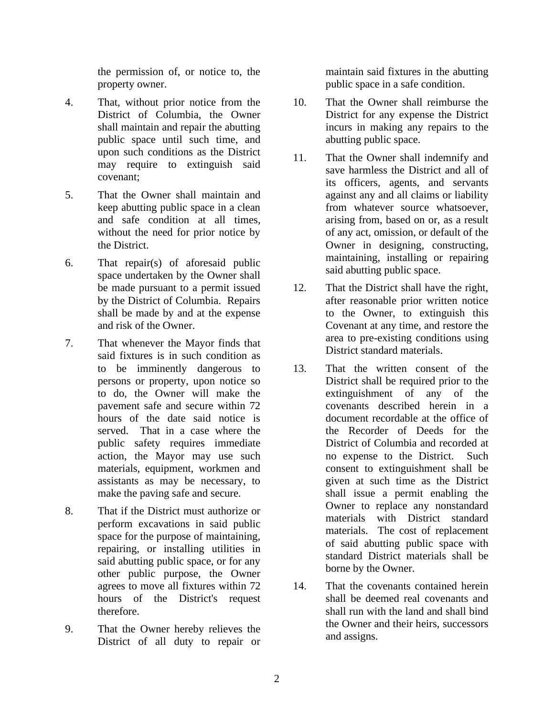the permission of, or notice to, the property owner.

- 4. That, without prior notice from the District of Columbia, the Owner shall maintain and repair the abutting public space until such time, and upon such conditions as the District may require to extinguish said covenant;
- 5. That the Owner shall maintain and keep abutting public space in a clean and safe condition at all times, without the need for prior notice by the District.
- 6. That repair(s) of aforesaid public space undertaken by the Owner shall be made pursuant to a permit issued by the District of Columbia. Repairs shall be made by and at the expense and risk of the Owner.
- 7. That whenever the Mayor finds that said fixtures is in such condition as to be imminently dangerous to persons or property, upon notice so to do, the Owner will make the pavement safe and secure within 72 hours of the date said notice is served. That in a case where the public safety requires immediate action, the Mayor may use such materials, equipment, workmen and assistants as may be necessary, to make the paving safe and secure.
- 8. That if the District must authorize or perform excavations in said public space for the purpose of maintaining, repairing, or installing utilities in said abutting public space, or for any other public purpose, the Owner agrees to move all fixtures within 72 hours of the District's request therefore.
- 9. That the Owner hereby relieves the District of all duty to repair or

maintain said fixtures in the abutting public space in a safe condition.

- 10. That the Owner shall reimburse the District for any expense the District incurs in making any repairs to the abutting public space.
- 11. That the Owner shall indemnify and save harmless the District and all of its officers, agents, and servants against any and all claims or liability from whatever source whatsoever, arising from, based on or, as a result of any act, omission, or default of the Owner in designing, constructing, maintaining, installing or repairing said abutting public space.
- 12. That the District shall have the right, after reasonable prior written notice to the Owner, to extinguish this Covenant at any time, and restore the area to pre-existing conditions using District standard materials.
- 13. That the written consent of the District shall be required prior to the extinguishment of any of the covenants described herein in a document recordable at the office of the Recorder of Deeds for the District of Columbia and recorded at no expense to the District. Such consent to extinguishment shall be given at such time as the District shall issue a permit enabling the Owner to replace any nonstandard materials with District standard materials. The cost of replacement of said abutting public space with standard District materials shall be borne by the Owner.
- 14. That the covenants contained herein shall be deemed real covenants and shall run with the land and shall bind the Owner and their heirs, successors and assigns.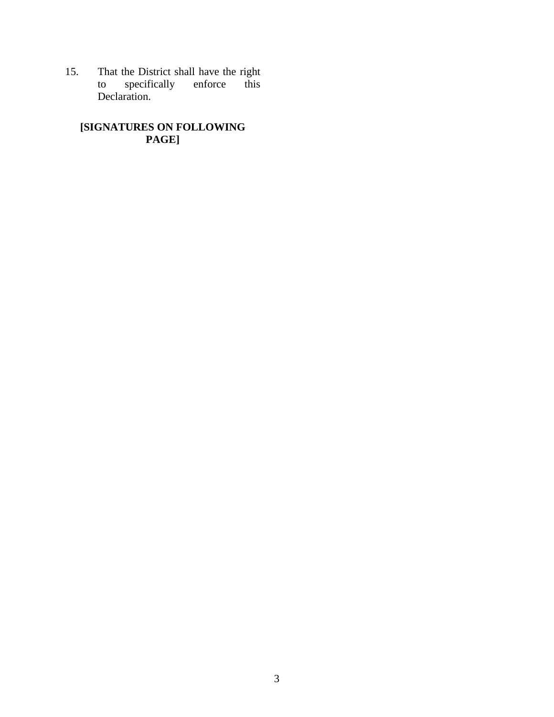15. That the District shall have the right to specifically enforce this Declaration.

## **[SIGNATURES ON FOLLOWING PAGE]**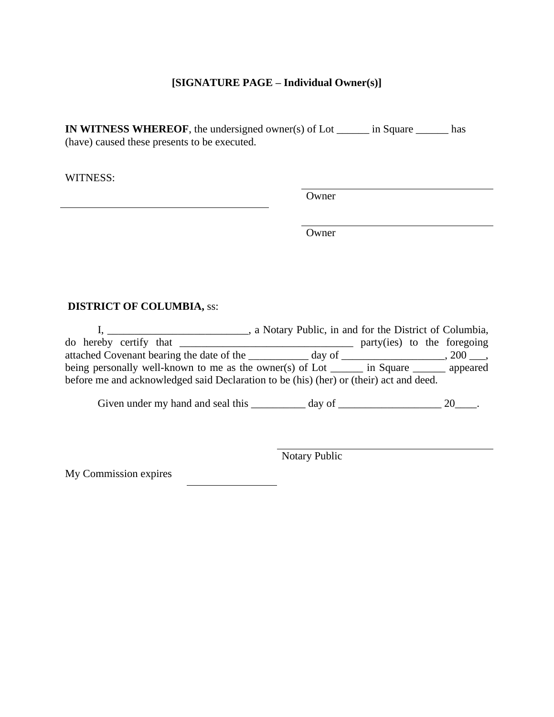# **[SIGNATURE PAGE – Individual Owner(s)]**

**IN WITNESS WHEREOF**, the undersigned owner(s) of Lot \_\_\_\_\_\_ in Square \_\_\_\_\_\_ has (have) caused these presents to be executed.

WITNESS:

Owner

**Owner** 

# **DISTRICT OF COLUMBIA,** ss:

|                                                                                        | , a Notary Public, in and for the District of Columbia, |                             |  |  |                        |
|----------------------------------------------------------------------------------------|---------------------------------------------------------|-----------------------------|--|--|------------------------|
| do hereby certify that                                                                 |                                                         | party(ies) to the foregoing |  |  |                        |
| attached Covenant bearing the date of the ________                                     | day of                                                  |                             |  |  | $, 200$ ,              |
| being personally well-known to me as the owner(s) of Lot $\qquad$                      |                                                         | $\frac{1}{2}$ in Square     |  |  | <sub>__</sub> appeared |
| before me and acknowledged said Declaration to be (his) (her) or (their) act and deed. |                                                         |                             |  |  |                        |

Given under my hand and seal this  $\frac{1}{\frac{1}{2} \cdot \frac{1}{2} \cdot \frac{1}{2} \cdot \frac{1}{2}}$  day of  $\frac{1}{\frac{1}{2} \cdot \frac{1}{2} \cdot \frac{1}{2} \cdot \frac{1}{2} \cdot \frac{1}{2}}$ .

Notary Public

My Commission expires